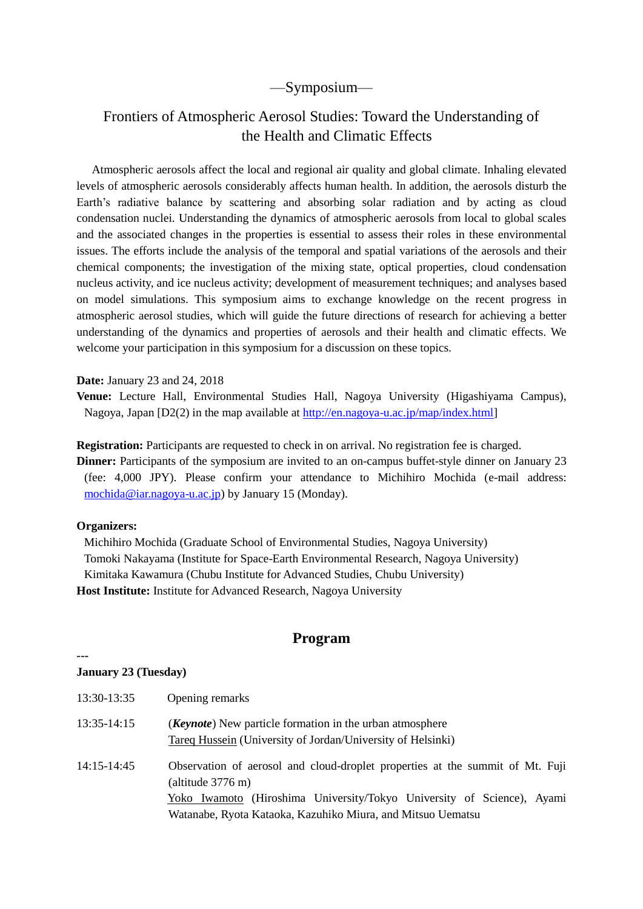## —Symposium—

# Frontiers of Atmospheric Aerosol Studies: Toward the Understanding of the Health and Climatic Effects

Atmospheric aerosols affect the local and regional air quality and global climate. Inhaling elevated levels of atmospheric aerosols considerably affects human health. In addition, the aerosols disturb the Earth's radiative balance by scattering and absorbing solar radiation and by acting as cloud condensation nuclei. Understanding the dynamics of atmospheric aerosols from local to global scales and the associated changes in the properties is essential to assess their roles in these environmental issues. The efforts include the analysis of the temporal and spatial variations of the aerosols and their chemical components; the investigation of the mixing state, optical properties, cloud condensation nucleus activity, and ice nucleus activity; development of measurement techniques; and analyses based on model simulations. This symposium aims to exchange knowledge on the recent progress in atmospheric aerosol studies, which will guide the future directions of research for achieving a better understanding of the dynamics and properties of aerosols and their health and climatic effects. We welcome your participation in this symposium for a discussion on these topics.

#### **Date:** January 23 and 24, 2018

**Venue:** Lecture Hall, Environmental Studies Hall, Nagoya University (Higashiyama Campus), Nagoya, Japan  $[D2(2)$  in the map available at  $\frac{http://en.nagoya-u.ac.jp/map/index.html}{http://en.nagoya-u.ac.jp/map/index.html}$ 

**Registration:** Participants are requested to check in on arrival. No registration fee is charged.

**Dinner:** Participants of the symposium are invited to an on-campus buffet-style dinner on January 23 (fee: 4,000 JPY). Please confirm your attendance to Michihiro Mochida (e-mail address: [mochida@iar.nagoya-u.ac.jp\)](mailto:mochida@iar.nagoya-u.ac.jp) by January 15 (Monday).

### **Organizers:**

Michihiro Mochida (Graduate School of Environmental Studies, Nagoya University) Tomoki Nakayama (Institute for Space-Earth Environmental Research, Nagoya University) Kimitaka Kawamura (Chubu Institute for Advanced Studies, Chubu University) **Host Institute:** Institute for Advanced Research, Nagoya University

### **Program**

### **---**

### **January 23 (Tuesday)**

| 13:30-13:35 | Opening remarks                                                                                                                                                                         |
|-------------|-----------------------------------------------------------------------------------------------------------------------------------------------------------------------------------------|
| 13:35-14:15 | ( <i>Keynote</i> ) New particle formation in the urban atmosphere<br>Tareq Hussein (University of Jordan/University of Helsinki)                                                        |
| 14:15-14:45 | Observation of aerosol and cloud-droplet properties at the summit of Mt. Fuji<br>(altitude $3776 \text{ m}$ )<br>Yoko Iwamoto (Hiroshima University/Tokyo University of Science), Ayami |
|             | Watanabe, Ryota Kataoka, Kazuhiko Miura, and Mitsuo Uematsu                                                                                                                             |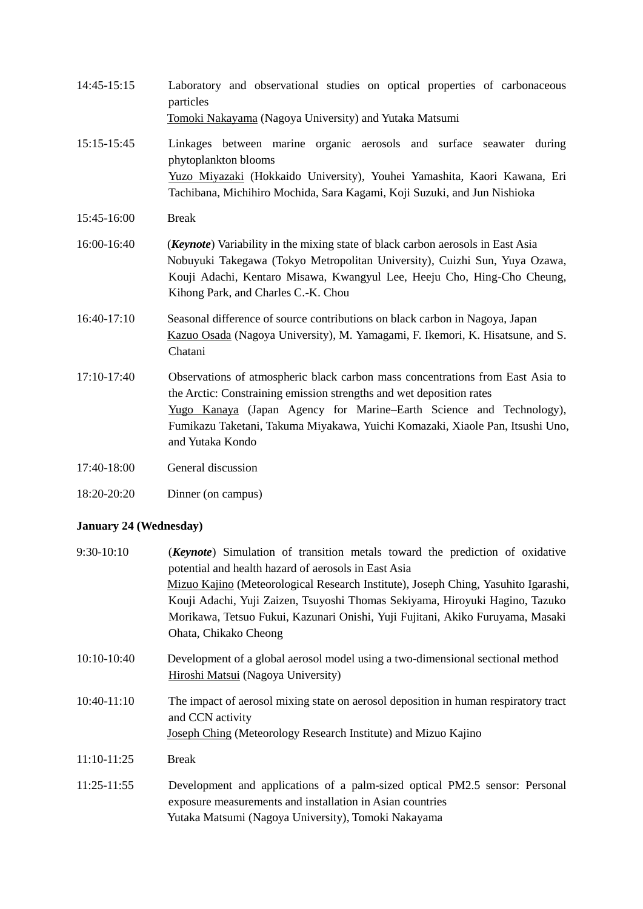| 14:45-15:15 | Laboratory and observational studies on optical properties of carbonaceous<br>particles<br>Tomoki Nakayama (Nagoya University) and Yutaka Matsumi                                                                                                                                                                                         |
|-------------|-------------------------------------------------------------------------------------------------------------------------------------------------------------------------------------------------------------------------------------------------------------------------------------------------------------------------------------------|
| 15:15-15:45 | Linkages between marine organic aerosols and surface seawater during<br>phytoplankton blooms<br>Yuzo Miyazaki (Hokkaido University), Youhei Yamashita, Kaori Kawana, Eri<br>Tachibana, Michihiro Mochida, Sara Kagami, Koji Suzuki, and Jun Nishioka                                                                                      |
| 15:45-16:00 | <b>Break</b>                                                                                                                                                                                                                                                                                                                              |
| 16:00-16:40 | ( <i>Keynote</i> ) Variability in the mixing state of black carbon aerosols in East Asia<br>Nobuyuki Takegawa (Tokyo Metropolitan University), Cuizhi Sun, Yuya Ozawa,<br>Kouji Adachi, Kentaro Misawa, Kwangyul Lee, Heeju Cho, Hing-Cho Cheung,<br>Kihong Park, and Charles C.-K. Chou                                                  |
| 16:40-17:10 | Seasonal difference of source contributions on black carbon in Nagoya, Japan<br>Kazuo Osada (Nagoya University), M. Yamagami, F. Ikemori, K. Hisatsune, and S.<br>Chatani                                                                                                                                                                 |
| 17:10-17:40 | Observations of atmospheric black carbon mass concentrations from East Asia to<br>the Arctic: Constraining emission strengths and wet deposition rates<br><u>Yugo Kanaya</u> (Japan Agency for Marine–Earth Science and Technology),<br>Fumikazu Taketani, Takuma Miyakawa, Yuichi Komazaki, Xiaole Pan, Itsushi Uno,<br>and Yutaka Kondo |
| 17:40-18:00 | General discussion                                                                                                                                                                                                                                                                                                                        |

18:20-20:20 Dinner (on campus)

# **January 24 (Wednesday)**

| 9:30-10:10    | ( <i>Keynote</i> ) Simulation of transition metals toward the prediction of oxidative                                                                                                           |
|---------------|-------------------------------------------------------------------------------------------------------------------------------------------------------------------------------------------------|
|               | potential and health hazard of aerosols in East Asia                                                                                                                                            |
|               | Mizuo Kajino (Meteorological Research Institute), Joseph Ching, Yasuhito Igarashi,                                                                                                              |
|               | Kouji Adachi, Yuji Zaizen, Tsuyoshi Thomas Sekiyama, Hiroyuki Hagino, Tazuko                                                                                                                    |
|               | Morikawa, Tetsuo Fukui, Kazunari Onishi, Yuji Fujitani, Akiko Furuyama, Masaki                                                                                                                  |
|               | Ohata, Chikako Cheong                                                                                                                                                                           |
| 10:10-10:40   | Development of a global aerosol model using a two-dimensional sectional method<br>Hiroshi Matsui (Nagoya University)                                                                            |
| $10:40-11:10$ | The impact of aerosol mixing state on aerosol deposition in human respiratory tract<br>and CCN activity                                                                                         |
|               | Joseph Ching (Meteorology Research Institute) and Mizuo Kajino                                                                                                                                  |
| 11:10-11:25   | <b>Break</b>                                                                                                                                                                                    |
| $11:25-11:55$ | Development and applications of a palm-sized optical PM2.5 sensor: Personal<br>exposure measurements and installation in Asian countries<br>Yutaka Matsumi (Nagoya University), Tomoki Nakayama |